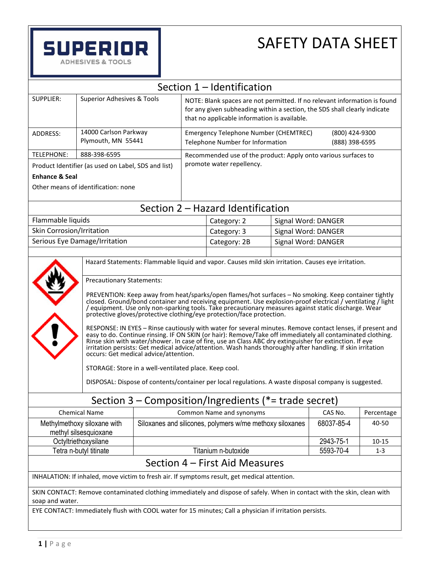

# SAFETY DATA SHEET

| Section 1 - Identification                                                                                                                 |                                                                                                                                                                                                                                                                                                                                                                                                                                                                                                                                                                                                                                                                                                                                                                                                                                                                                                                                                                                                                                                                                                           |                                                                |                                                                                                                                                                                                        |                                                                                                         |                                  |                     |  |
|--------------------------------------------------------------------------------------------------------------------------------------------|-----------------------------------------------------------------------------------------------------------------------------------------------------------------------------------------------------------------------------------------------------------------------------------------------------------------------------------------------------------------------------------------------------------------------------------------------------------------------------------------------------------------------------------------------------------------------------------------------------------------------------------------------------------------------------------------------------------------------------------------------------------------------------------------------------------------------------------------------------------------------------------------------------------------------------------------------------------------------------------------------------------------------------------------------------------------------------------------------------------|----------------------------------------------------------------|--------------------------------------------------------------------------------------------------------------------------------------------------------------------------------------------------------|---------------------------------------------------------------------------------------------------------|----------------------------------|---------------------|--|
| <b>SUPPLIER:</b>                                                                                                                           | <b>Superior Adhesives &amp; Tools</b>                                                                                                                                                                                                                                                                                                                                                                                                                                                                                                                                                                                                                                                                                                                                                                                                                                                                                                                                                                                                                                                                     |                                                                | NOTE: Blank spaces are not permitted. If no relevant information is found<br>for any given subheading within a section, the SDS shall clearly indicate<br>that no applicable information is available. |                                                                                                         |                                  |                     |  |
| ADDRESS:                                                                                                                                   |                                                                                                                                                                                                                                                                                                                                                                                                                                                                                                                                                                                                                                                                                                                                                                                                                                                                                                                                                                                                                                                                                                           | 14000 Carlson Parkway<br>Plymouth, MN 55441                    |                                                                                                                                                                                                        | <b>Emergency Telephone Number (CHEMTREC)</b><br>Telephone Number for Information                        | (800) 424-9300<br>(888) 398-6595 |                     |  |
| <b>TELEPHONE:</b><br>888-398-6595                                                                                                          |                                                                                                                                                                                                                                                                                                                                                                                                                                                                                                                                                                                                                                                                                                                                                                                                                                                                                                                                                                                                                                                                                                           | Recommended use of the product: Apply onto various surfaces to |                                                                                                                                                                                                        |                                                                                                         |                                  |                     |  |
| Product Identifier (as used on Label, SDS and list)                                                                                        |                                                                                                                                                                                                                                                                                                                                                                                                                                                                                                                                                                                                                                                                                                                                                                                                                                                                                                                                                                                                                                                                                                           | promote water repellency.                                      |                                                                                                                                                                                                        |                                                                                                         |                                  |                     |  |
| <b>Enhance &amp; Seal</b>                                                                                                                  |                                                                                                                                                                                                                                                                                                                                                                                                                                                                                                                                                                                                                                                                                                                                                                                                                                                                                                                                                                                                                                                                                                           |                                                                |                                                                                                                                                                                                        |                                                                                                         |                                  |                     |  |
| Other means of identification: none                                                                                                        |                                                                                                                                                                                                                                                                                                                                                                                                                                                                                                                                                                                                                                                                                                                                                                                                                                                                                                                                                                                                                                                                                                           |                                                                |                                                                                                                                                                                                        |                                                                                                         |                                  |                     |  |
|                                                                                                                                            |                                                                                                                                                                                                                                                                                                                                                                                                                                                                                                                                                                                                                                                                                                                                                                                                                                                                                                                                                                                                                                                                                                           |                                                                |                                                                                                                                                                                                        | Section 2 - Hazard Identification                                                                       |                                  |                     |  |
| Flammable liquids                                                                                                                          |                                                                                                                                                                                                                                                                                                                                                                                                                                                                                                                                                                                                                                                                                                                                                                                                                                                                                                                                                                                                                                                                                                           |                                                                |                                                                                                                                                                                                        | Category: 2                                                                                             |                                  | Signal Word: DANGER |  |
| <b>Skin Corrosion/Irritation</b>                                                                                                           |                                                                                                                                                                                                                                                                                                                                                                                                                                                                                                                                                                                                                                                                                                                                                                                                                                                                                                                                                                                                                                                                                                           |                                                                |                                                                                                                                                                                                        | Category: 3                                                                                             |                                  | Signal Word: DANGER |  |
|                                                                                                                                            | Serious Eye Damage/Irritation                                                                                                                                                                                                                                                                                                                                                                                                                                                                                                                                                                                                                                                                                                                                                                                                                                                                                                                                                                                                                                                                             |                                                                |                                                                                                                                                                                                        | Category: 2B                                                                                            |                                  | Signal Word: DANGER |  |
|                                                                                                                                            |                                                                                                                                                                                                                                                                                                                                                                                                                                                                                                                                                                                                                                                                                                                                                                                                                                                                                                                                                                                                                                                                                                           |                                                                |                                                                                                                                                                                                        |                                                                                                         |                                  |                     |  |
|                                                                                                                                            | Hazard Statements: Flammable liquid and vapor. Causes mild skin irritation. Causes eye irritation.                                                                                                                                                                                                                                                                                                                                                                                                                                                                                                                                                                                                                                                                                                                                                                                                                                                                                                                                                                                                        |                                                                |                                                                                                                                                                                                        |                                                                                                         |                                  |                     |  |
|                                                                                                                                            | <b>Precautionary Statements:</b><br>PREVENTION: Keep away from heat/sparks/open flames/hot surfaces - No smoking. Keep container tightly<br>closed. Ground/bond container and receiving equipment. Use explosion-proof electrical / ventilating / light<br>equipment. Use only non-sparking tools. Take precautionary measures against static discharge. Wear /<br>protective gloves/protective clothing/eye protection/face protection.<br>RESPONSE: IN EYES - Rinse cautiously with water for several minutes. Remove contact lenses, if present and<br>easy to do. Continue rinsing. IF ON SKIN (or hair): Remove/Take off immediately all contaminated clothing.<br>Rinse skin with water/shower. In case of fire, use an Class ABC dry extinguisher for extinction. If eye<br>irritation persists: Get medical advice/attention. Wash hands thoroughly after handling. If skin irritation<br>occurs: Get medical advice/attention.<br>STORAGE: Store in a well-ventilated place. Keep cool.<br>DISPOSAL: Dispose of contents/container per local regulations. A waste disposal company is suggested. |                                                                |                                                                                                                                                                                                        |                                                                                                         |                                  |                     |  |
|                                                                                                                                            |                                                                                                                                                                                                                                                                                                                                                                                                                                                                                                                                                                                                                                                                                                                                                                                                                                                                                                                                                                                                                                                                                                           |                                                                |                                                                                                                                                                                                        | Section $3$ – Composition/Ingredients (*= trade secret)                                                 |                                  |                     |  |
|                                                                                                                                            | <b>Chemical Name</b>                                                                                                                                                                                                                                                                                                                                                                                                                                                                                                                                                                                                                                                                                                                                                                                                                                                                                                                                                                                                                                                                                      | Common Name and synonyms                                       |                                                                                                                                                                                                        | CAS No.                                                                                                 | Percentage                       |                     |  |
| Methylmethoxy siloxane with<br>methyl silsesquioxane                                                                                       |                                                                                                                                                                                                                                                                                                                                                                                                                                                                                                                                                                                                                                                                                                                                                                                                                                                                                                                                                                                                                                                                                                           | Siloxanes and silicones, polymers w/me methoxy siloxanes       |                                                                                                                                                                                                        |                                                                                                         | 68037-85-4                       | 40-50               |  |
| Octyltriethoxysilane                                                                                                                       |                                                                                                                                                                                                                                                                                                                                                                                                                                                                                                                                                                                                                                                                                                                                                                                                                                                                                                                                                                                                                                                                                                           |                                                                |                                                                                                                                                                                                        | 2943-75-1                                                                                               | $10 - 15$                        |                     |  |
| Tetra n-butyl titinate                                                                                                                     |                                                                                                                                                                                                                                                                                                                                                                                                                                                                                                                                                                                                                                                                                                                                                                                                                                                                                                                                                                                                                                                                                                           | Titanium n-butoxide                                            |                                                                                                                                                                                                        | 5593-70-4                                                                                               | $1 - 3$                          |                     |  |
| Section 4 - First Aid Measures                                                                                                             |                                                                                                                                                                                                                                                                                                                                                                                                                                                                                                                                                                                                                                                                                                                                                                                                                                                                                                                                                                                                                                                                                                           |                                                                |                                                                                                                                                                                                        |                                                                                                         |                                  |                     |  |
| INHALATION: If inhaled, move victim to fresh air. If symptoms result, get medical attention.                                               |                                                                                                                                                                                                                                                                                                                                                                                                                                                                                                                                                                                                                                                                                                                                                                                                                                                                                                                                                                                                                                                                                                           |                                                                |                                                                                                                                                                                                        |                                                                                                         |                                  |                     |  |
| SKIN CONTACT: Remove contaminated clothing immediately and dispose of safely. When in contact with the skin, clean with<br>soap and water. |                                                                                                                                                                                                                                                                                                                                                                                                                                                                                                                                                                                                                                                                                                                                                                                                                                                                                                                                                                                                                                                                                                           |                                                                |                                                                                                                                                                                                        |                                                                                                         |                                  |                     |  |
|                                                                                                                                            |                                                                                                                                                                                                                                                                                                                                                                                                                                                                                                                                                                                                                                                                                                                                                                                                                                                                                                                                                                                                                                                                                                           |                                                                |                                                                                                                                                                                                        | EYE CONTACT: Immediately flush with COOL water for 15 minutes; Call a physician if irritation persists. |                                  |                     |  |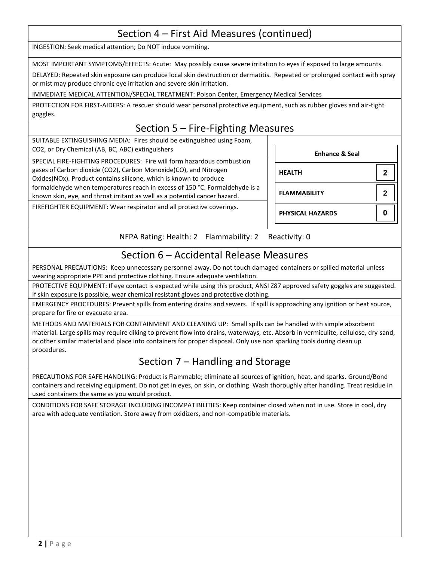## Section 4 – First Aid Measures (continued)

INGESTION: Seek medical attention; Do NOT induce vomiting.

MOST IMPORTANT SYMPTOMS/EFFECTS: Acute: May possibly cause severe irritation to eyes if exposed to large amounts.

DELAYED: Repeated skin exposure can produce local skin destruction or dermatitis. Repeated or prolonged contact with spray or mist may produce chronic eye irritation and severe skin irritation.

IMMEDIATE MEDICAL ATTENTION/SPECIAL TREATMENT: Poison Center, Emergency Medical Services

PROTECTION FOR FIRST-AIDERS: A rescuer should wear personal protective equipment, such as rubber gloves and air-tight goggles.

## Section 5 – Fire-Fighting Measures

SUITABLE EXTINGUISHING MEDIA: Fires should be extinguished using Foam, CO2, or Dry Chemical (AB, BC, ABC) extinguishers

SPECIAL FIRE-FIGHTING PROCEDURES: Fire will form hazardous combustion gases of Carbon dioxide (CO2), Carbon Monoxide(CO), and Nitrogen Oxides(NOx). Product contains silicone, which is known to produce formaldehyde when temperatures reach in excess of 150 °C. Formaldehyde is a known skin, eye, and throat irritant as well as a potential cancer hazard.

FIREFIGHTER EQUIPMENT: Wear respirator and all protective coverings.

| <b>Enhance &amp; Seal</b> |   |
|---------------------------|---|
| <b>HEALTH</b>             | 2 |
| <b>FLAMMABILITY</b>       | 2 |
| <b>PHYSICAL HAZARDS</b>   |   |

NFPA Rating: Health: 2 Flammability: 2 Reactivity: 0

#### Section 6 – Accidental Release Measures

PERSONAL PRECAUTIONS: Keep unnecessary personnel away. Do not touch damaged containers or spilled material unless wearing appropriate PPE and protective clothing. Ensure adequate ventilation.

PROTECTIVE EQUIPMENT: If eye contact is expected while using this product, ANSI Z87 approved safety goggles are suggested. If skin exposure is possible, wear chemical resistant gloves and protective clothing.

EMERGENCY PROCEDURES: Prevent spills from entering drains and sewers. If spill is approaching any ignition or heat source, prepare for fire or evacuate area.

METHODS AND MATERIALS FOR CONTAINMENT AND CLEANING UP: Small spills can be handled with simple absorbent material. Large spills may require diking to prevent flow into drains, waterways, etc. Absorb in vermiculite, cellulose, dry sand, or other similar material and place into containers for proper disposal. Only use non sparking tools during clean up procedures.

## Section 7 – Handling and Storage

PRECAUTIONS FOR SAFE HANDLING: Product is Flammable; eliminate all sources of ignition, heat, and sparks. Ground/Bond containers and receiving equipment. Do not get in eyes, on skin, or clothing. Wash thoroughly after handling. Treat residue in used containers the same as you would product.

CONDITIONS FOR SAFE STORAGE INCLUDING INCOMPATIBILITIES: Keep container closed when not in use. Store in cool, dry area with adequate ventilation. Store away from oxidizers, and non-compatible materials.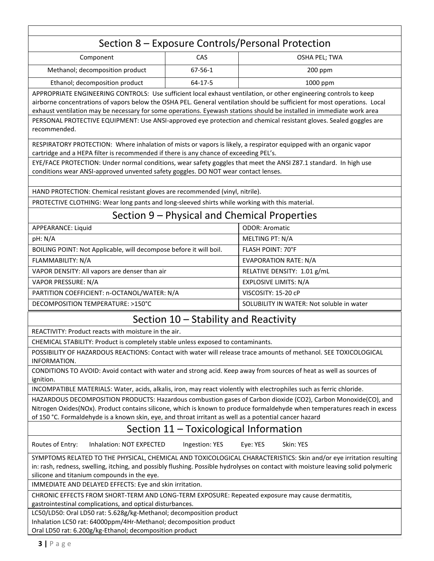# Section 8 – Exposure Controls/Personal Protection

| Component                       | CAS     | OSHA PEL; TWA |
|---------------------------------|---------|---------------|
| Methanol; decomposition product | 67-56-1 | $200$ ppm     |
| Ethanol; decomposition product  | 64-17-5 | $1000$ ppm    |

APPROPRIATE ENGINEERING CONTROLS: Use sufficient local exhaust ventilation, or other engineering controls to keep airborne concentrations of vapors below the OSHA PEL. General ventilation should be sufficient for most operations. Local exhaust ventilation may be necessary for some operations. Eyewash stations should be installed in immediate work area PERSONAL PROTECTIVE EQUIPMENT: Use ANSI-approved eye protection and chemical resistant gloves. Sealed goggles are recommended.

RESPIRATORY PROTECTION: Where inhalation of mists or vapors is likely, a respirator equipped with an organic vapor cartridge and a HEPA filter is recommended if there is any chance of exceeding PEL's.

EYE/FACE PROTECTION: Under normal conditions, wear safety goggles that meet the ANSI Z87.1 standard. In high use conditions wear ANSI-approved unvented safety goggles. DO NOT wear contact lenses.

HAND PROTECTION: Chemical resistant gloves are recommended (vinyl, nitrile).

PROTECTIVE CLOTHING: Wear long pants and long-sleeved shirts while working with this material.

## Section 9 – Physical and Chemical Properties

| APPEARANCE: Liquid                                                 | <b>ODOR: Aromatic</b>                     |
|--------------------------------------------------------------------|-------------------------------------------|
| pH: N/A                                                            | MELTING PT: N/A                           |
| BOILING POINT: Not Applicable, will decompose before it will boil. | <b>FLASH POINT: 70°F</b>                  |
| FLAMMABILITY: N/A                                                  | <b>EVAPORATION RATE: N/A</b>              |
| VAPOR DENSITY: All vapors are denser than air                      | RELATIVE DENSITY: 1.01 g/mL               |
| VAPOR PRESSURE: N/A                                                | <b>EXPLOSIVE LIMITS: N/A</b>              |
| PARTITION COEFFICIENT: n-OCTANOL/WATER: N/A                        | VISCOSITY: 15-20 cP                       |
| DECOMPOSITION TEMPERATURE: >150°C                                  | SOLUBILITY IN WATER: Not soluble in water |

#### Section 10 – Stability and Reactivity

REACTIVITY: Product reacts with moisture in the air.

CHEMICAL STABILITY: Product is completely stable unless exposed to contaminants.

POSSIBILITY OF HAZARDOUS REACTIONS: Contact with water will release trace amounts of methanol. SEE TOXICOLOGICAL INFORMATION.

CONDITIONS TO AVOID: Avoid contact with water and strong acid. Keep away from sources of heat as well as sources of ignition.

INCOMPATIBLE MATERIALS: Water, acids, alkalis, iron, may react violently with electrophiles such as ferric chloride.

HAZARDOUS DECOMPOSITION PRODUCTS: Hazardous combustion gases of Carbon dioxide (CO2), Carbon Monoxide(CO), and Nitrogen Oxides(NOx). Product contains silicone, which is known to produce formaldehyde when temperatures reach in excess of 150 °C. Formaldehyde is a known skin, eye, and throat irritant as well as a potential cancer hazard

## Section 11 – Toxicological Information

Routes of Entry: Inhalation: NOT EXPECTED Ingestion: YES Eye: YES Skin: YES

SYMPTOMS RELATED TO THE PHYSICAL, CHEMICAL AND TOXICOLOGICAL CHARACTERISTICS: Skin and/or eye irritation resulting in: rash, redness, swelling, itching, and possibly flushing. Possible hydrolyses on contact with moisture leaving solid polymeric silicone and titanium compounds in the eye.

IMMEDIATE AND DELAYED EFFECTS: Eye and skin irritation.

CHRONIC EFFECTS FROM SHORT-TERM AND LONG-TERM EXPOSURE: Repeated exposure may cause dermatitis,

gastrointestinal complications, and optical disturbances.

LC50/LD50: Oral LD50 rat: 5.628g/kg-Methanol; decomposition product

Inhalation LC50 rat: 64000ppm/4Hr-Methanol; decomposition product

Oral LD50 rat: 6.200g/kg-Ethanol; decomposition product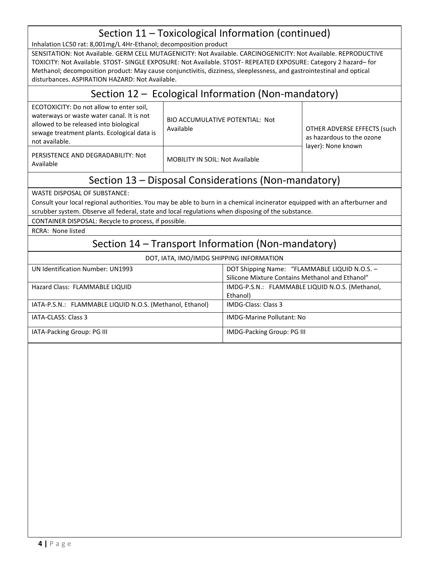## Section 11 – Toxicological Information (continued)

Inhalation LC50 rat: 8,001mg/L 4Hr-Ethanol; decomposition product

SENSITATION: Not Available. GERM CELL MUTAGENICITY: Not Available. CARCINOGENICITY: Not Available. REPRODUCTIVE TOXICITY: Not Available. STOST- SINGLE EXPOSURE: Not Available. STOST- REPEATED EXPOSURE: Category 2 hazard– for Methanol; decomposition product: May cause conjunctivitis, dizziness, sleeplessness, and gastrointestinal and optical disturbances. ASPIRATION HAZARD: Not Available.

#### Section 12 – Ecological Information (Non-mandatory)

ECOTOXICITY: Do not allow to enter soil, waterways or waste water canal. It is not allowed to be released into biological sewage treatment plants. Ecological data is not available.

BIO ACCUMULATIVE POTENTIAL: Not Available **Available OTHER ADVERSE EFFECTS** (such

PERSISTENCE AND DEGRADABILITY: Not Available MOBILITY IN SOIL: Not Available

as hazardous to the ozone layer): None known

## Section 13 – Disposal Considerations (Non-mandatory)

WASTE DISPOSAL OF SUBSTANCE:

Consult your local regional authorities. You may be able to burn in a chemical incinerator equipped with an afterburner and scrubber system. Observe all federal, state and local regulations when disposing of the substance.

CONTAINER DISPOSAL: Recycle to process, if possible.

RCRA: None listed

## Section 14 – Transport Information (Non-mandatory)

| UN Identification Number: UN1993                         | DOT Shipping Name: "FLAMMABLE LIQUID N.O.S. -   |
|----------------------------------------------------------|-------------------------------------------------|
|                                                          | Silicone Mixture Contains Methanol and Ethanol" |
| Hazard Class: FLAMMABLE LIQUID                           | IMDG-P.S.N.: FLAMMABLE LIQUID N.O.S. (Methanol, |
|                                                          | Ethanol)                                        |
| IATA-P.S.N.: FLAMMABLE LIQUID N.O.S. (Methanol, Ethanol) | IMDG-Class: Class 3                             |
| IATA-CLASS: Class 3                                      | <b>IMDG-Marine Pollutant: No</b>                |
| IATA-Packing Group: PG III                               | IMDG-Packing Group: PG III                      |